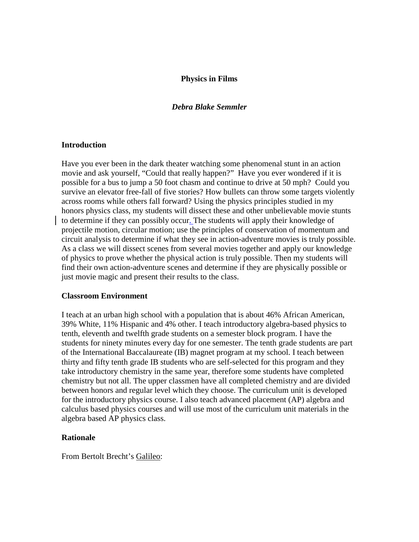# **Physics in Films**

# *Debra Blake Semmler*

# **Introduction**

Have you ever been in the dark theater watching some phenomenal stunt in an action movie and ask yourself, "Could that really happen?" Have you ever wondered if it is possible for a bus to jump a 50 foot chasm and continue to drive at 50 mph? Could you survive an elevator free-fall of five stories? How bullets can throw some targets violently across rooms while others fall forward? Using the physics principles studied in my honors physics class, my students will dissect these and other unbelievable movie stunts to determine if they can possibly occur. The students will apply their knowledge of projectile motion, circular motion; use the principles of conservation of momentum and circuit analysis to determine if what they see in action-adventure movies is truly possible. As a class we will dissect scenes from several movies together and apply our knowledge of physics to prove whether the physical action is truly possible. Then my students will find their own action-adventure scenes and determine if they are physically possible or just movie magic and present their results to the class.

#### **Classroom Environment**

I teach at an urban high school with a population that is about 46% African American, 39% White, 11% Hispanic and 4% other. I teach introductory algebra-based physics to tenth, eleventh and twelfth grade students on a semester block program. I have the students for ninety minutes every day for one semester. The tenth grade students are part of the International Baccalaureate (IB) magnet program at my school. I teach between thirty and fifty tenth grade IB students who are self-selected for this program and they take introductory chemistry in the same year, therefore some students have completed chemistry but not all. The upper classmen have all completed chemistry and are divided between honors and regular level which they choose. The curriculum unit is developed for the introductory physics course. I also teach advanced placement (AP) algebra and calculus based physics courses and will use most of the curriculum unit materials in the algebra based AP physics class.

# **Rationale**

From Bertolt Brecht's Galileo: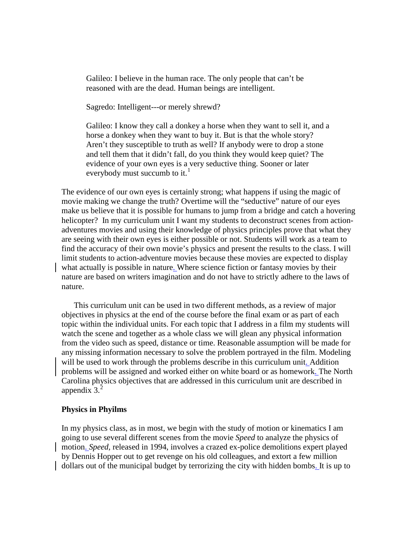Galileo: I believe in the human race. The only people that can't be reasoned with are the dead. Human beings are intelligent.

Sagredo: Intelligent---or merely shrewd?

Galileo: I know they call a donkey a horse when they want to sell it, and a horse a donkey when they want to buy it. But is that the whole story? Aren't they susceptible to truth as well? If anybody were to drop a stone and tell them that it didn't fall, do you think they would keep quiet? The evidence of your own eyes is a very seductive thing. Sooner or later everybody must succumb to it. $<sup>1</sup>$  $<sup>1</sup>$  $<sup>1</sup>$ </sup>

The evidence of our own eyes is certainly strong; what happens if using the magic of movie making we change the truth? Overtime will the "seductive" nature of our eyes make us believe that it is possible for humans to jump from a bridge and catch a hovering helicopter? In my curriculum unit I want my students to deconstruct scenes from actionadventures movies and using their knowledge of physics principles prove that what they are seeing with their own eyes is either possible or not. Students will work as a team to find the accuracy of their own movie's physics and present the results to the class. I will limit students to action-adventure movies because these movies are expected to display what actually is possible in nature. Where science fiction or fantasy movies by their nature are based on writers imagination and do not have to strictly adhere to the laws of nature.

 This curriculum unit can be used in two different methods, as a review of major objectives in physics at the end of the course before the final exam or as part of each topic within the individual units. For each topic that I address in a film my students will watch the scene and together as a whole class we will glean any physical information from the video such as speed, distance or time. Reasonable assumption will be made for any missing information necessary to solve the problem portrayed in the film. Modeling will be used to work through the problems describe in this curriculum unit. Addition problems will be assigned and worked either on white board or as homework. The North Carolina physics objectives that are addressed in this curriculum unit are described in appendix  $3<sup>2</sup>$  $3<sup>2</sup>$  $3<sup>2</sup>$ 

#### **Physics in Phyilms**

In my physics class, as in most, we begin with the study of motion or kinematics I am going to use several different scenes from the movie *Speed* to analyze the physics of motion. *Speed,* released in 1994, involves a crazed ex-police demolitions expert played by Dennis Hopper out to get revenge on his old colleagues, and extort a few million dollars out of the municipal budget by terrorizing the city with hidden bombs. It is up to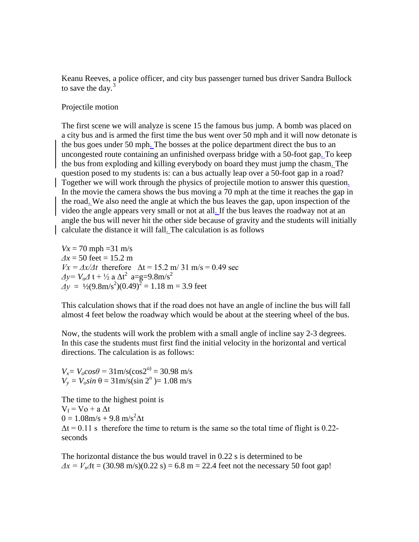Keanu Reeves, a police officer, and city bus passenger turned bus driver Sandra Bullock to save the day. $3$ 

Projectile motion

The first scene we will analyze is scene 15 the famous bus jump. A bomb was placed on a city bus and is armed the first time the bus went over 50 mph and it will now detonate is the bus goes under 50 mph. The bosses at the police department direct the bus to an uncongested route containing an unfinished overpass bridge with a 50-foot gap. To keep the bus from exploding and killing everybody on board they must jump the chasm. The question posed to my students is: can a bus actually leap over a 50-foot gap in a road? Together we will work through the physics of projectile motion to answer this question. In the movie the camera shows the bus moving a 70 mph at the time it reaches the gap in the road. We also need the angle at which the bus leaves the gap, upon inspection of the video the angle appears very small or not at all. If the bus leaves the roadway not at an angle the bus will never hit the other side because of gravity and the students will initially calculate the distance it will fall. The calculation is as follows

 $Vx = 70$  mph = 31 m/s  $\Delta x = 50$  feet = 15.2 m  $Vx = \frac{\Delta x}{\Delta t}$  therefore  $\Delta t = 15.2$  m/ 31 m/s = 0.49 sec *Δy* =  $V_0$  *Δ* t +  $\frac{1}{2}$  a  $\Delta t^2$  a=g=9.8m/s<sup>2</sup>  $\Delta y = \frac{1}{2}(9.8 \text{m/s}^2)(0.49)^2 = 1.18 \text{ m} = 3.9 \text{ feet}$ 

This calculation shows that if the road does not have an angle of incline the bus will fall almost 4 feet below the roadway which would be about at the steering wheel of the bus.

Now, the students will work the problem with a small angle of incline say 2-3 degrees. In this case the students must first find the initial velocity in the horizontal and vertical directions. The calculation is as follows:

 $V_x = V_0 \cos\theta = 31 \text{ m/s} (\cos 2^{\circ}) = 30.98 \text{ m/s}$  $V_v = V_o \sin \theta = 31 \text{ m/s} (\sin 2^{\circ}) = 1.08 \text{ m/s}$ 

The time to the highest point is  $V_f = V_0 + a \Delta t$  $0 = 1.08$ m/s + 9.8 m/s<sup>2</sup> $\Delta t$  $\Delta t = 0.11$  s therefore the time to return is the same so the total time of flight is 0.22seconds

The horizontal distance the bus would travel in 0.22 s is determined to be  $\Delta x = V_x \Delta t = (30.98 \text{ m/s})(0.22 \text{ s}) = 6.8 \text{ m} = 22.4 \text{ feet}$  not the necessary 50 foot gap!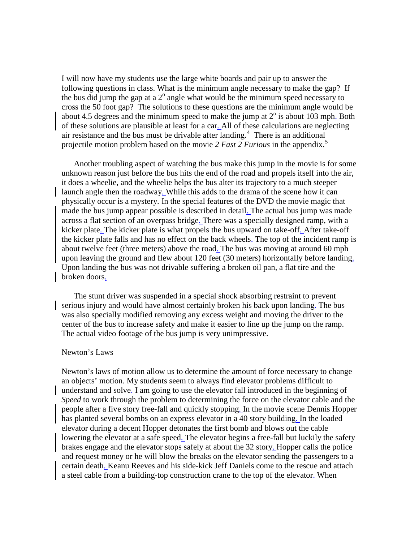I will now have my students use the large white boards and pair up to answer the following questions in class. What is the minimum angle necessary to make the gap? If the bus did jump the gap at a  $2^{\circ}$  angle what would be the minimum speed necessary to cross the 50 foot gap? The solutions to these questions are the minimum angle would be about 4.5 degrees and the minimum speed to make the jump at  $2^\circ$  is about 103 mph. Both of these solutions are plausible at least for a car. All of these calculations are neglecting air resistance and the bus must be drivable after landing.<sup>[4](#page-13-3)</sup> There is an additional projectile motion problem based on the movie 2 Fast 2 Furious in the appendix.<sup>[5](#page-13-4)</sup>

 Another troubling aspect of watching the bus make this jump in the movie is for some unknown reason just before the bus hits the end of the road and propels itself into the air, it does a wheelie, and the wheelie helps the bus alter its trajectory to a much steeper launch angle then the roadway. While this adds to the drama of the scene how it can physically occur is a mystery. In the special features of the DVD the movie magic that made the bus jump appear possible is described in detail. The actual bus jump was made across a flat section of an overpass bridge. There was a specially designed ramp, with a kicker plate. The kicker plate is what propels the bus upward on take-off. After take-off the kicker plate falls and has no effect on the back wheels. The top of the incident ramp is about twelve feet (three meters) above the road. The bus was moving at around 60 mph upon leaving the ground and flew about 120 feet (30 meters) horizontally before landing. Upon landing the bus was not drivable suffering a broken oil pan, a flat tire and the broken doors.

 The stunt driver was suspended in a special shock absorbing restraint to prevent serious injury and would have almost certainly broken his back upon landing. The bus was also specially modified removing any excess weight and moving the driver to the center of the bus to increase safety and make it easier to line up the jump on the ramp. The actual video footage of the bus jump is very unimpressive.

### Newton's Laws

Newton's laws of motion allow us to determine the amount of force necessary to change an objects' motion. My students seem to always find elevator problems difficult to understand and solve. I am going to use the elevator fall introduced in the beginning of *Speed* to work through the problem to determining the force on the elevator cable and the people after a five story free-fall and quickly stopping. In the movie scene Dennis Hopper has planted several bombs on an express elevator in a 40 story building. In the loaded elevator during a decent Hopper detonates the first bomb and blows out the cable lowering the elevator at a safe speed. The elevator begins a free-fall but luckily the safety brakes engage and the elevator stops safely at about the 32 story. Hopper calls the police and request money or he will blow the breaks on the elevator sending the passengers to a certain death. Keanu Reeves and his side-kick Jeff Daniels come to the rescue and attach a steel cable from a building-top construction crane to the top of the elevator. When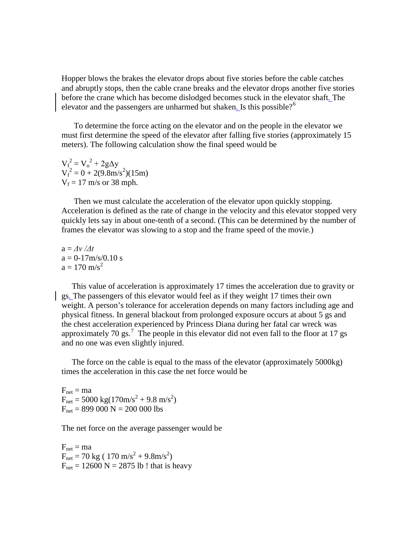Hopper blows the brakes the elevator drops about five stories before the cable catches and abruptly stops, then the cable crane breaks and the elevator drops another five stories before the crane which has become dislodged becomes stuck in the elevator shaft. The elevator and the passengers are unharmed but shaken. Is this possible?<sup>[6](#page-13-5)</sup>

 To determine the force acting on the elevator and on the people in the elevator we must first determine the speed of the elevator after falling five stories (approximately 15 meters). The following calculation show the final speed would be

 $V_f^2 = V_o^2 + 2g\Delta y$  $V_f^2 = 0 + 2(9.8 \text{m/s}^2)(15 \text{m})$  $V_f = 17$  m/s or 38 mph.

 Then we must calculate the acceleration of the elevator upon quickly stopping. Acceleration is defined as the rate of change in the velocity and this elevator stopped very quickly lets say in about one-tenth of a second. (This can be determined by the number of frames the elevator was slowing to a stop and the frame speed of the movie.)

 $a = \frac{\Delta v}{\Delta t}$  $a = 0.17 \text{m/s} / 0.10 \text{ s}$  $a = 170$  m/s<sup>2</sup>

 This value of acceleration is approximately 17 times the acceleration due to gravity or gs. The passengers of this elevator would feel as if they weight 17 times their own weight. A person's tolerance for acceleration depends on many factors including age and physical fitness. In general blackout from prolonged exposure occurs at about 5 gs and the chest acceleration experienced by Princess Diana during her fatal car wreck was approximately [7](#page-13-6)0 gs.<sup>7</sup> The people in this elevator did not even fall to the floor at 17 gs and no one was even slightly injured.

 The force on the cable is equal to the mass of the elevator (approximately 5000kg) times the acceleration in this case the net force would be

 $F_{net} = ma$  $F_{\text{net}} = 5000 \text{ kg} (170 \text{m/s}^2 + 9.8 \text{ m/s}^2)$  $F_{net} = 899\,000 \text{ N} = 200\,000 \text{ lbs}$ 

The net force on the average passenger would be

 $F_{\text{net}} = ma$  $F_{\text{net}} = 70 \text{ kg} (170 \text{ m/s}^2 + 9.8 \text{m/s}^2)$  $F_{\text{net}} = 12600 \text{ N} = 2875 \text{ lb}$ ! that is heavy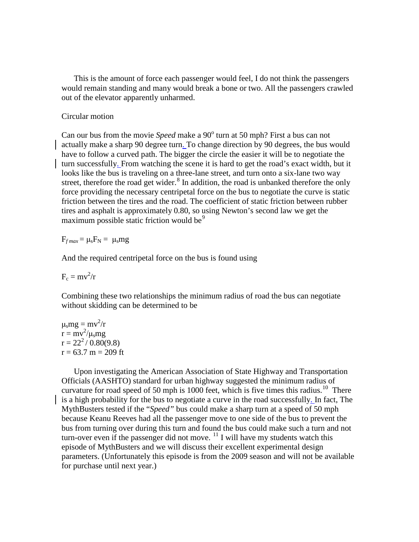This is the amount of force each passenger would feel, I do not think the passengers would remain standing and many would break a bone or two. All the passengers crawled out of the elevator apparently unharmed.

# Circular motion

Can our bus from the movie *Speed* make a 90<sup>°</sup> turn at 50 mph? First a bus can not actually make a sharp 90 degree turn. To change direction by 90 degrees, the bus would have to follow a curved path. The bigger the circle the easier it will be to negotiate the turn successfully. From watching the scene it is hard to get the road's exact width, but it looks like the bus is traveling on a three-lane street, and turn onto a six-lane two way street, therefore the road get wider.<sup>[8](#page-13-7)</sup> In addition, the road is unbanked therefore the only force providing the necessary centripetal force on the bus to negotiate the curve is static friction between the tires and the road. The coefficient of static friction between rubber tires and asphalt is approximately 0.80, so using Newton's second law we get the maximum possible static friction would be $<sup>9</sup>$  $<sup>9</sup>$  $<sup>9</sup>$ </sup>

 $F_{f max} = \mu_s F_N = \mu_s mg$ 

And the required centripetal force on the bus is found using

 $F_c = mv^2/r$ 

Combining these two relationships the minimum radius of road the bus can negotiate without skidding can be determined to be

 $\mu_s mg = mv^2/r$  $\mathbf{r} = \mathbf{m}\mathbf{v}^2/\mathbf{\mu}_\mathrm{s} \mathbf{m}$ g  $r = 22^2 / 0.80(9.8)$  $r = 63.7$  m = 209 ft

 Upon investigating the American Association of State Highway and Transportation Officials (AASHTO) standard for urban highway suggested the minimum radius of curvature for road speed of 50 mph is 1000 feet, which is five times this radius.<sup>10</sup> There is a high probability for the bus to negotiate a curve in the road successfully. In fact, The MythBusters tested if the "*Speed"* bus could make a sharp turn at a speed of 50 mph because Keanu Reeves had all the passenger move to one side of the bus to prevent the bus from turning over during this turn and found the bus could make such a turn and not turn-over even if the passenger did not move.  $^{11}$  $^{11}$  $^{11}$  I will have my students watch this episode of MythBusters and we will discuss their excellent experimental design parameters. (Unfortunately this episode is from the 2009 season and will not be available for purchase until next year.)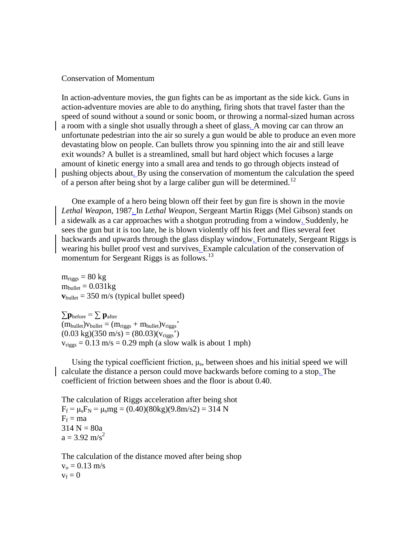### Conservation of Momentum

In action-adventure movies, the gun fights can be as important as the side kick. Guns in action-adventure movies are able to do anything, firing shots that travel faster than the speed of sound without a sound or sonic boom, or throwing a normal-sized human across a room with a single shot usually through a sheet of glass. A moving car can throw an unfortunate pedestrian into the air so surely a gun would be able to produce an even more devastating blow on people. Can bullets throw you spinning into the air and still leave exit wounds? A bullet is a streamlined, small but hard object which focuses a large amount of kinetic energy into a small area and tends to go through objects instead of pushing objects about. By using the conservation of momentum the calculation the speed of a person after being shot by a large caliber gun will be determined.<sup>[12](#page-13-11)</sup>

 One example of a hero being blown off their feet by gun fire is shown in the movie *Lethal Weapon*, 1987. In *Lethal Weapon*, Sergeant Martin Riggs (Mel Gibson) stands on a sidewalk as a car approaches with a shotgun protruding from a window. Suddenly, he sees the gun but it is too late, he is blown violently off his feet and flies several feet backwards and upwards through the glass display window. Fortunately, Sergeant Riggs is wearing his bullet proof vest and survives. Example calculation of the conservation of momentum for Sergeant Riggs is as follows.<sup>[13](#page-13-12)</sup>

 $m_{\text{riggs}} = 80 \text{ kg}$  $m_{bullet} = 0.031kg$  $v_{bullet} = 350$  m/s (typical bullet speed)

 $\sum \mathbf{p}_{before} = \sum \mathbf{p}_{after}$  $(m_{\text{bullet}})v_{\text{bullet}} = (m_{\text{riggs}} + m_{\text{bullet}})v_{\text{riggs}}$  $(0.03 \text{ kg})(350 \text{ m/s}) = (80.03)(v_{\text{riggs}})$  $v<sub>riggs</sub> = 0.13$  m/s = 0.29 mph (a slow walk is about 1 mph)

Using the typical coefficient friction,  $\mu_s$ , between shoes and his initial speed we will calculate the distance a person could move backwards before coming to a stop. The coefficient of friction between shoes and the floor is about 0.40.

The calculation of Riggs acceleration after being shot  $F_f = \mu_s F_N = \mu_s mg = (0.40)(80 \text{kg})(9.8 \text{m/s2}) = 314 \text{ N}$  $F_f = ma$  $314 N = 80a$  $a = 3.92$  m/s<sup>2</sup>

The calculation of the distance moved after being shop  $v_0 = 0.13$  m/s  $v_f = 0$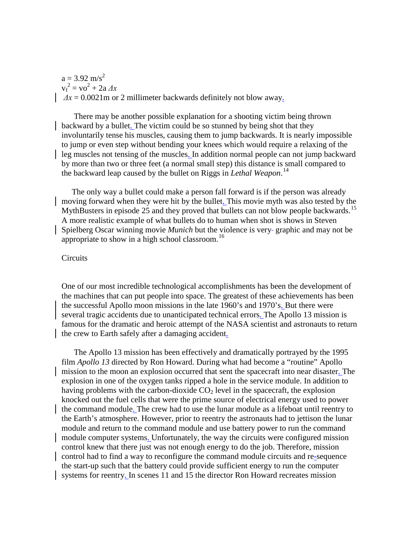$a = 3.92$  m/s<sup>2</sup>  $v_f^2 = v_0^2 + 2a \Delta x$  $\Delta x = 0.0021$  m or 2 millimeter backwards definitely not blow away.

 There may be another possible explanation for a shooting victim being thrown backward by a bullet. The victim could be so stunned by being shot that they involuntarily tense his muscles, causing them to jump backwards. It is nearly impossible to jump or even step without bending your knees which would require a relaxing of the leg muscles not tensing of the muscles. In addition normal people can not jump backward by more than two or three feet (a normal small step) this distance is small compared to the backward leap caused by the bullet on Riggs in *Lethal Weapon*. [14](#page-13-13)

 The only way a bullet could make a person fall forward is if the person was already moving forward when they were hit by the bullet. This movie myth was also tested by the MythBusters in episode 25 and they proved that bullets can not blow people backwards.<sup>[15](#page-13-14)</sup> A more realistic example of what bullets do to human when shot is shows in Steven Spielberg Oscar winning movie *Munich* but the violence is very-graphic and may not be appropriate to show in a high school classroom.<sup>[16](#page-13-15)</sup>

#### Circuits

One of our most incredible technological accomplishments has been the development of the machines that can put people into space. The greatest of these achievements has been the successful Apollo moon missions in the late 1960's and 1970's. But there were several tragic accidents due to unanticipated technical errors. The Apollo 13 mission is famous for the dramatic and heroic attempt of the NASA scientist and astronauts to return the crew to Earth safely after a damaging accident.

 The Apollo 13 mission has been effectively and dramatically portrayed by the 1995 film *Apollo 13* directed by Ron Howard. During what had become a "routine" Apollo mission to the moon an explosion occurred that sent the spacecraft into near disaster. The explosion in one of the oxygen tanks ripped a hole in the service module. In addition to having problems with the carbon-dioxide  $CO<sub>2</sub>$  level in the spacecraft, the explosion knocked out the fuel cells that were the prime source of electrical energy used to power the command module. The crew had to use the lunar module as a lifeboat until reentry to the Earth's atmosphere. However, prior to reentry the astronauts had to jettison the lunar module and return to the command module and use battery power to run the command module computer systems. Unfortunately, the way the circuits were configured mission control knew that there just was not enough energy to do the job. Therefore, mission control had to find a way to reconfigure the command module circuits and re-sequence the start-up such that the battery could provide sufficient energy to run the computer systems for reentry. In scenes 11 and 15 the director Ron Howard recreates mission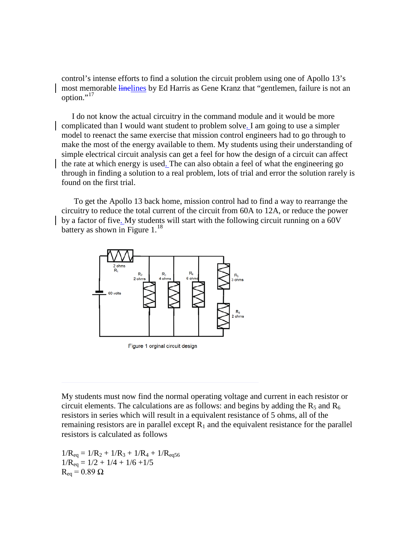control's intense efforts to find a solution the circuit problem using one of Apollo 13's most memorable linelines by Ed Harris as Gene Kranz that "gentlemen, failure is not an option."<sup>[17](#page-13-16)</sup>

 I do not know the actual circuitry in the command module and it would be more complicated than I would want student to problem solve. I am going to use a simpler model to reenact the same exercise that mission control engineers had to go through to make the most of the energy available to them. My students using their understanding of simple electrical circuit analysis can get a feel for how the design of a circuit can affect the rate at which energy is used. The can also obtain a feel of what the engineering go through in finding a solution to a real problem, lots of trial and error the solution rarely is found on the first trial.

 To get the Apollo 13 back home, mission control had to find a way to rearrange the circuitry to reduce the total current of the circuit from 60A to 12A, or reduce the power by a factor of five. My students will start with the following circuit running on a 60V battery as shown in Figure  $1<sup>18</sup>$  $1<sup>18</sup>$  $1<sup>18</sup>$ 



Figure 1 orginal circuit design

My students must now find the normal operating voltage and current in each resistor or circuit elements. The calculations are as follows: and begins by adding the  $R_5$  and  $R_6$ resistors in series which will result in a equivalent resistance of 5 ohms, all of the remaining resistors are in parallel except  $R_1$  and the equivalent resistance for the parallel resistors is calculated as follows

 $1/R_{eq} = 1/R_2 + 1/R_3 + 1/R_4 + 1/R_{eq56}$  $1/R_{eq} = 1/2 + 1/4 + 1/6 + 1/5$  $R_{eq} = 0.89 \Omega$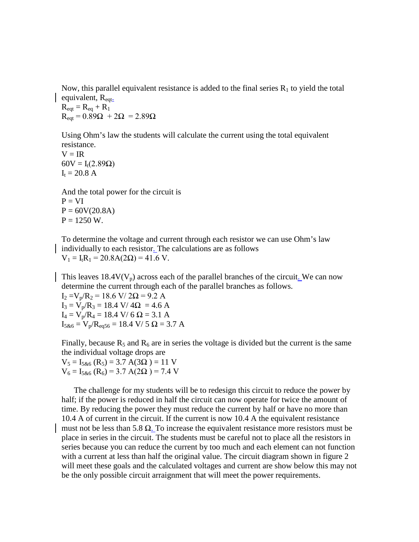Now, this parallel equivalent resistance is added to the final series  $R_1$  to yield the total equivalent,  $R_{eqt}$ .

 $R_{eqt} = R_{eq} + R_1$  $R_{\text{eat}} = 0.89\Omega + 2\Omega = 2.89\Omega$ 

Using Ohm's law the students will calculate the current using the total equivalent resistance.

 $V = IR$  $60V = I_t(2.89\Omega)$  $I_t = 20.8 A$ 

And the total power for the circuit is  $P = VI$  $P = 60V(20.8A)$  $P = 1250$  W.

To determine the voltage and current through each resistor we can use Ohm's law individually to each resistor. The calculations are as follows  $V_1 = I_t R_1 = 20.8A(2\Omega) = 41.6 V.$ 

This leaves  $18.4V(V_p)$  across each of the parallel branches of the circuit. We can now determine the current through each of the parallel branches as follows.

 $I_2 = V_p/R_2 = 18.6$  V/  $2\Omega = 9.2$  A  $I_3 = V_p/R_3 = 18.4$  V/  $4\Omega = 4.6$  A  $I_4 = V_p/R_4 = 18.4$  V/ 6  $\Omega = 3.1$  A  $I_{5,86} = V_p/R_{eq56} = 18.4$  V/ 5  $\Omega = 3.7$  A

Finally, because  $R_5$  and  $R_6$  are in series the voltage is divided but the current is the same the individual voltage drops are

 $V_5 = I_{5\&6} (R_5) = 3.7 A(3\Omega) = 11 V$  $V_6 = I_{5\&6} (R_6) = 3.7 A(2\Omega) = 7.4 V$ 

 The challenge for my students will be to redesign this circuit to reduce the power by half; if the power is reduced in half the circuit can now operate for twice the amount of time. By reducing the power they must reduce the current by half or have no more than 10.4 A of current in the circuit. If the current is now 10.4 A the equivalent resistance must not be less than 5.8  $\Omega$ . To increase the equivalent resistance more resistors must be place in series in the circuit. The students must be careful not to place all the resistors in series because you can reduce the current by too much and each element can not function with a current at less than half the original value. The circuit diagram shown in figure 2 will meet these goals and the calculated voltages and current are show below this may not be the only possible circuit arraignment that will meet the power requirements.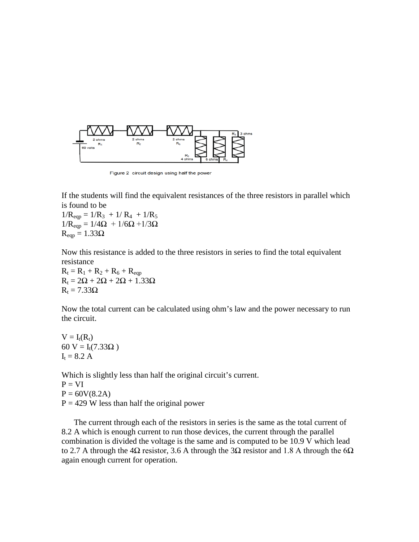

Figure 2 circuit design using half the power

If the students will find the equivalent resistances of the three resistors in parallel which is found to be

 $1/R_{eqp} = 1/R_3 + 1/R_4 + 1/R_5$  $1/R_{eqp} = 1/4\Omega + 1/6\Omega + 1/3\Omega$  $R_{\text{e}ap} = 1.33\Omega$ 

Now this resistance is added to the three resistors in series to find the total equivalent resistance

 $R_t = R_1 + R_2 + R_6 + R_{eqp}$  $R_t = 2\Omega + 2\Omega + 2\Omega + 1.33\Omega$  $R_t = 7.33\Omega$ 

Now the total current can be calculated using ohm's law and the power necessary to run the circuit.

 $V = I_t(R_t)$ 60 V =  $I_t(7.33\Omega)$  $I_t = 8.2 A$ 

Which is slightly less than half the original circuit's current.  $P = VI$  $P = 60V(8.2A)$  $P = 429$  W less than half the original power

 The current through each of the resistors in series is the same as the total current of 8.2 A which is enough current to run those devices, the current through the parallel combination is divided the voltage is the same and is computed to be 10.9 V which lead to 2.7 A through the 4Ω resistor, 3.6 A through the 3Ω resistor and 1.8 A through the 6Ω again enough current for operation.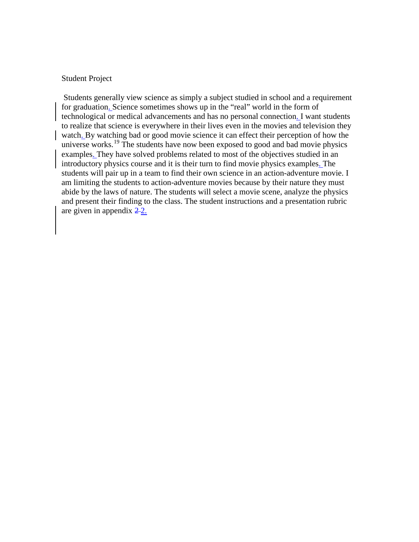# Student Project

Students generally view science as simply a subject studied in school and a requirement for graduation. Science sometimes shows up in the "real" world in the form of technological or medical advancements and has no personal connection. I want students to realize that science is everywhere in their lives even in the movies and television they watch. By watching bad or good movie science it can effect their perception of how the universe works.<sup>[19](#page-13-18)</sup> The students have now been exposed to good and bad movie physics examples. They have solved problems related to most of the objectives studied in an introductory physics course and it is their turn to find movie physics examples. The students will pair up in a team to find their own science in an action-adventure movie. I am limiting the students to action-adventure movies because by their nature they must abide by the laws of nature. The students will select a movie scene, analyze the physics and present their finding to the class. The student instructions and a presentation rubric are given in appendix  $2-2$ .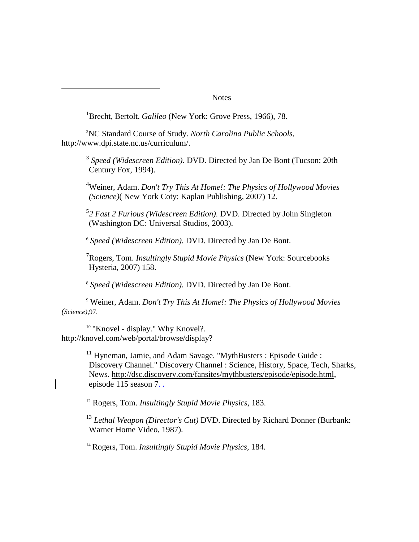#### **Notes**

<sup>1</sup>Brecht, Bertolt. *Galileo* (New York: Grove Press, 1966), 78.

2 NC Standard Course of Study. *North Carolina Public Schools*, [http://www.dpi.state.nc.us/curriculum/.](http://www.dpi.state.nc.us/curriculum/)

> <sup>3</sup> *Speed (Widescreen Edition)*. DVD. Directed by Jan De Bont (Tucson: 20th Century Fox, 1994).

> 4 Weiner, Adam. *Don't Try This At Home!: The Physics of Hollywood Movies (Science)*( New York Coty: Kaplan Publishing, 2007) 12.

5 *2 Fast 2 Furious (Widescreen Edition)*. DVD. Directed by John Singleton (Washington DC: Universal Studios, 2003).

<sup>6</sup> *Speed (Widescreen Edition)*. DVD. Directed by Jan De Bont.

7 Rogers, Tom. *Insultingly Stupid Movie Physics* (New York: Sourcebooks Hysteria, 2007) 158.

<sup>8</sup> *Speed (Widescreen Edition)*. DVD. Directed by Jan De Bont.

<sup>9</sup> Weiner, Adam. *Don't Try This At Home!: The Physics of Hollywood Movies (Science),*97.

<sup>10</sup> "Knovel - display." Why Knovel?. http://knovel.com/web/portal/browse/display?

 $\overline{a}$ 

 $11$  Hyneman, Jamie, and Adam Savage. "MythBusters : Episode Guide : Discovery Channel." Discovery Channel : Science, History, Space, Tech, Sharks, News. [http://dsc.discovery.com/fansites/mythbusters/episode/episode.html,](http://dsc.discovery.com/fansites/mythbusters/episode/episode.html) episode 115 season 7. .

<sup>12</sup> Rogers, Tom. *Insultingly Stupid Movie Physics,* 183.

<sup>13</sup> *Lethal Weapon (Director's Cut)* DVD. Directed by Richard Donner (Burbank: Warner Home Video, 1987).

<sup>14</sup> Rogers, Tom. *Insultingly Stupid Movie Physics,* 184.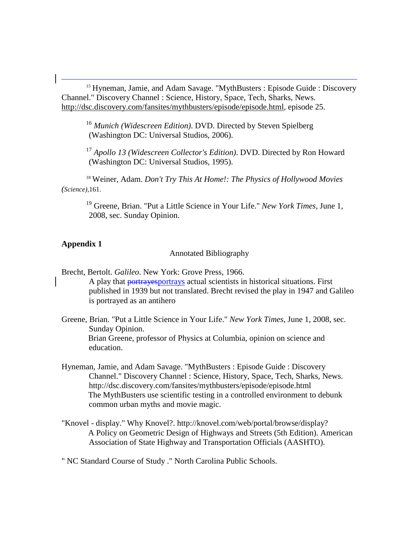<span id="page-13-15"></span><span id="page-13-14"></span><span id="page-13-1"></span><span id="page-13-0"></span><sup>15</sup> Hyneman, Jamie, and Adam Savage. "MythBusters : Episode Guide : Discovery Channel." Discovery Channel : Science, History, Space, Tech, Sharks, News. [http://dsc.discovery.com/fansites/mythbusters/episode/episode.html,](http://dsc.discovery.com/fansites/mythbusters/episode/episode.html) episode 25.

<sup>16</sup> *Munich (Widescreen Edition)*. DVD. Directed by Steven Spielberg (Washington DC: Universal Studios, 2006).

<sup>17</sup> *Apollo 13 (Widescreen Collector's Edition)*. DVD. Directed by Ron Howard (Washington DC: Universal Studios, 1995).

<span id="page-13-18"></span><span id="page-13-17"></span><span id="page-13-16"></span><span id="page-13-3"></span><span id="page-13-2"></span><sup>18</sup> Weiner, Adam. *Don't Try This At Home!: The Physics of Hollywood Movies (Science),*161.

<sup>19</sup> Greene, Brian. "Put a Little Science in Your Life." *New York Times*, June 1, 2008, sec. Sunday Opinion.

# <span id="page-13-6"></span><span id="page-13-5"></span><span id="page-13-4"></span>**Appendix 1**

Annotated Bibliography

- <span id="page-13-7"></span>Brecht, Bertolt. *Galileo*. New York: Grove Press, 1966. A play that portrayesportrays actual scientists in historical situations. First published in 1939 but not translated. Brecht revised the play in 1947 and Galileo is portrayed as an antihero
- <span id="page-13-9"></span><span id="page-13-8"></span>Greene, Brian. "Put a Little Science in Your Life." *New York Times*, June 1, 2008, sec. Sunday Opinion. Brian Greene, professor of Physics at Columbia, opinion on science and education.
- <span id="page-13-10"></span>Hyneman, Jamie, and Adam Savage. "MythBusters : Episode Guide : Discovery Channel." Discovery Channel : Science, History, Space, Tech, Sharks, News. http://dsc.discovery.com/fansites/mythbusters/episode/episode.html The MythBusters use scientific testing in a controlled environment to debunk common urban myths and movie magic.
- <span id="page-13-12"></span><span id="page-13-11"></span>"Knovel - display." Why Knovel?. http://knovel.com/web/portal/browse/display? A Policy on Geometric Design of Highways and Streets (5th Edition). American Association of State Highway and Transportation Officials (AASHTO).

<span id="page-13-13"></span>" NC Standard Course of Study ." North Carolina Public Schools.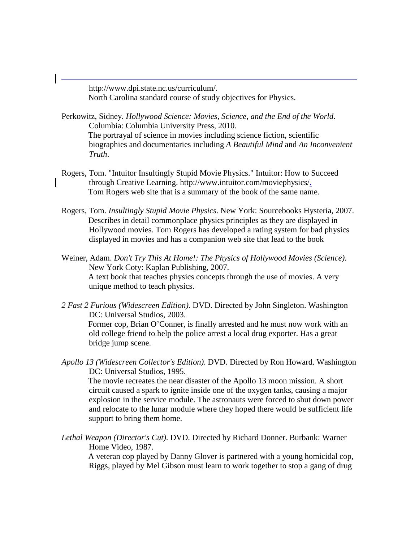http://www.dpi.state.nc.us/curriculum/. North Carolina standard course of study objectives for Physics.

j

- Perkowitz, Sidney. *Hollywood Science: Movies, Science, and the End of the World*. Columbia: Columbia University Press, 2010. The portrayal of science in movies including science fiction, scientific biographies and documentaries including *A Beautiful Mind* and *An Inconvenient Truth*.
- Rogers, Tom. "Intuitor Insultingly Stupid Movie Physics." Intuitor: How to Succeed through Creative Learning. http://www.intuitor.com/moviephysics/. Tom Rogers web site that is a summary of the book of the same name.
- Rogers, Tom. *Insultingly Stupid Movie Physics*. New York: Sourcebooks Hysteria, 2007. Describes in detail commonplace physics principles as they are displayed in Hollywood movies. Tom Rogers has developed a rating system for bad physics displayed in movies and has a companion web site that lead to the book
- Weiner, Adam. *Don't Try This At Home!: The Physics of Hollywood Movies (Science)*. New York Coty: Kaplan Publishing, 2007. A text book that teaches physics concepts through the use of movies. A very unique method to teach physics.
- *2 Fast 2 Furious (Widescreen Edition)*. DVD. Directed by John Singleton. Washington DC: Universal Studios, 2003. Former cop, Brian O'Conner, is finally arrested and he must now work with an old college friend to help the police arrest a local drug exporter. Has a great bridge jump scene.
- *Apollo 13 (Widescreen Collector's Edition)*. DVD. Directed by Ron Howard. Washington DC: Universal Studios, 1995. The movie recreates the near disaster of the Apollo 13 moon mission. A short circuit caused a spark to ignite inside one of the oxygen tanks, causing a major explosion in the service module. The astronauts were forced to shut down power and relocate to the lunar module where they hoped there would be sufficient life support to bring them home.
- *Lethal Weapon (Director's Cut)*. DVD. Directed by Richard Donner. Burbank: Warner Home Video, 1987.

A veteran cop played by Danny Glover is partnered with a young homicidal cop, Riggs, played by Mel Gibson must learn to work together to stop a gang of drug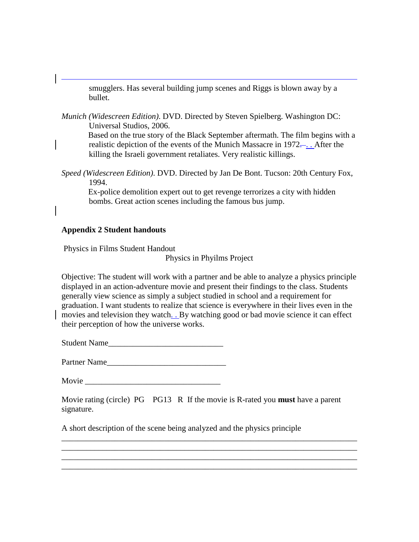smugglers. Has several building jump scenes and Riggs is blown away by a bullet.

*Munich (Widescreen Edition)*. DVD. Directed by Steven Spielberg. Washington DC: Universal Studios, 2006.

Based on the true story of the Black September aftermath. The film begins with a realistic depiction of the events of the Munich Massacre in 1972.... After the killing the Israeli government retaliates. Very realistic killings.

*Speed (Widescreen Edition)*. DVD. Directed by Jan De Bont. Tucson: 20th Century Fox, 1994.

Ex-police demolition expert out to get revenge terrorizes a city with hidden bombs. Great action scenes including the famous bus jump.

# **Appendix 2 Student handouts**

j

Physics in Films Student Handout

Physics in Phyilms Project

Objective: The student will work with a partner and be able to analyze a physics principle displayed in an action-adventure movie and present their findings to the class. Students generally view science as simply a subject studied in school and a requirement for graduation. I want students to realize that science is everywhere in their lives even in the movies and television they watch. . By watching good or bad movie science it can effect their perception of how the universe works.

Student Name

Partner Name

Movie **Movie** 

Movie rating (circle) PG PG13 R If the movie is R-rated you **must** have a parent signature.

\_\_\_\_\_\_\_\_\_\_\_\_\_\_\_\_\_\_\_\_\_\_\_\_\_\_\_\_\_\_\_\_\_\_\_\_\_\_\_\_\_\_\_\_\_\_\_\_\_\_\_\_\_\_\_\_\_\_\_\_\_\_\_\_\_\_\_\_\_\_\_\_ \_\_\_\_\_\_\_\_\_\_\_\_\_\_\_\_\_\_\_\_\_\_\_\_\_\_\_\_\_\_\_\_\_\_\_\_\_\_\_\_\_\_\_\_\_\_\_\_\_\_\_\_\_\_\_\_\_\_\_\_\_\_\_\_\_\_\_\_\_\_\_\_ \_\_\_\_\_\_\_\_\_\_\_\_\_\_\_\_\_\_\_\_\_\_\_\_\_\_\_\_\_\_\_\_\_\_\_\_\_\_\_\_\_\_\_\_\_\_\_\_\_\_\_\_\_\_\_\_\_\_\_\_\_\_\_\_\_\_\_\_\_\_\_\_ \_\_\_\_\_\_\_\_\_\_\_\_\_\_\_\_\_\_\_\_\_\_\_\_\_\_\_\_\_\_\_\_\_\_\_\_\_\_\_\_\_\_\_\_\_\_\_\_\_\_\_\_\_\_\_\_\_\_\_\_\_\_\_\_\_\_\_\_\_\_\_\_

A short description of the scene being analyzed and the physics principle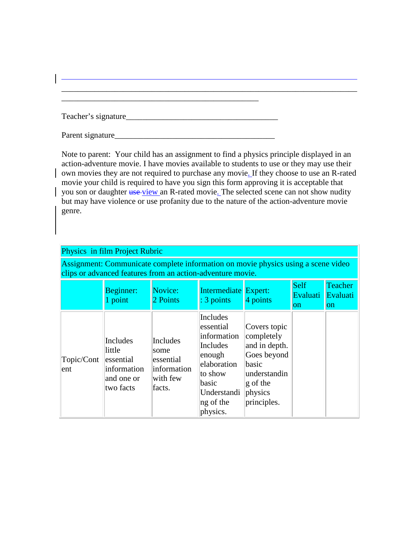| Teacher's signature |  |
|---------------------|--|
|                     |  |

\_\_\_\_\_\_\_\_\_\_\_\_\_\_\_\_\_\_\_\_\_\_\_\_\_\_\_\_\_\_\_\_\_\_\_\_\_\_\_\_\_\_\_\_\_\_\_\_

j

Parent signature\_\_\_\_\_\_\_\_\_\_\_\_\_\_\_\_\_\_\_\_\_\_\_\_\_\_\_\_\_\_\_\_\_\_\_\_\_\_\_

Note to parent: Your child has an assignment to find a physics principle displayed in an action-adventure movie. I have movies available to students to use or they may use their own movies they are not required to purchase any movie. If they choose to use an R-rated movie your child is required to have you sign this form approving it is acceptable that you son or daughter use view an R-rated movie. The selected scene can not show nudity but may have violence or use profanity due to the nature of the action-adventure movie genre.

\_\_\_\_\_\_\_\_\_\_\_\_\_\_\_\_\_\_\_\_\_\_\_\_\_\_\_\_\_\_\_\_\_\_\_\_\_\_\_\_\_\_\_\_\_\_\_\_\_\_\_\_\_\_\_\_\_\_\_\_\_\_\_\_\_\_\_\_\_\_\_\_

| Physics in film Project Rubric                                                                                                                  |                                                                           |                                                                    |                                                                                                                                            |                                                                                                                           |                               |                                             |  |  |  |  |
|-------------------------------------------------------------------------------------------------------------------------------------------------|---------------------------------------------------------------------------|--------------------------------------------------------------------|--------------------------------------------------------------------------------------------------------------------------------------------|---------------------------------------------------------------------------------------------------------------------------|-------------------------------|---------------------------------------------|--|--|--|--|
| Assignment: Communicate complete information on movie physics using a scene video<br>clips or advanced features from an action-adventure movie. |                                                                           |                                                                    |                                                                                                                                            |                                                                                                                           |                               |                                             |  |  |  |  |
|                                                                                                                                                 | Beginner:<br>1 point                                                      | Novice:<br>2 Points                                                | Intermediate Expert:<br>: 3 points                                                                                                         | 4 points                                                                                                                  | Self<br>Evaluati<br><b>on</b> | <b>Teacher</b><br>Evaluati<br><sub>on</sub> |  |  |  |  |
| Topic/Cont<br>ent                                                                                                                               | Includes<br>little<br>essential<br>information<br>and one or<br>two facts | Includes<br>some<br>essential<br>information<br>with few<br>facts. | Includes<br>lessential<br>information<br>Includes<br>enough<br>elaboration<br>to show<br>basic<br>Understandi<br>$\log$ of the<br>physics. | Covers topic<br>completely<br>and in depth.<br>Goes beyond<br>basic<br>understandin<br>g of the<br>physics<br>principles. |                               |                                             |  |  |  |  |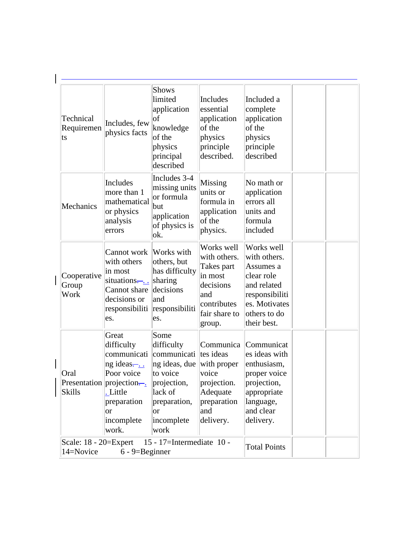| Technical<br>Requiremen<br>ts                                                                | Includes, few<br>physics facts                                                                                                                                  | <b>Shows</b><br>limited<br>application<br>$ _{0f}$<br>knowledge<br>of the<br>physics<br>principal<br>described                                             | Includes<br>essential<br>application<br>of the<br>physics<br>principle<br>described.                              | Included a<br>complete<br>application<br>of the<br>physics<br>principle<br>described                                                      |  |
|----------------------------------------------------------------------------------------------|-----------------------------------------------------------------------------------------------------------------------------------------------------------------|------------------------------------------------------------------------------------------------------------------------------------------------------------|-------------------------------------------------------------------------------------------------------------------|-------------------------------------------------------------------------------------------------------------------------------------------|--|
| Mechanics                                                                                    | Includes<br>more than 1<br>mathematical<br>or physics<br>analysis<br>errors                                                                                     | Includes 3-4<br>missing units<br>or formula<br>but<br>application<br>of physics is<br>ok.                                                                  | Missing<br>units or<br>formula in<br>application<br>of the<br>physics.                                            | No math or<br>application<br>errors all<br>units and<br>formula<br>included                                                               |  |
| Cooperative<br>Group<br>Work                                                                 | Cannot work  Works with<br>with others<br>in most<br>situations— $\frac{1}{2}$ sharing<br>Cannot share<br>decisions or<br>responsibiliti<br>les.                | others, but<br>has difficulty<br>decisions<br>and<br>responsibiliti<br>es.                                                                                 | Works well<br>with others.<br>Takes part<br>in most<br>decisions<br>and<br>contributes<br>fair share to<br>group. | Works well<br>with others.<br>Assumes a<br>clear role<br>and related<br>responsibiliti<br>es. Motivates<br>others to do<br>their best.    |  |
| Oral<br><b>Skills</b>                                                                        | Great<br>difficulty<br>communicati<br>$\log$ ideas— $\ldots$<br>Poor voice<br>Presentation projection—<br>. Little<br>preparation<br>lor<br>incomplete<br>work. | Some<br>difficulty<br>communicati ltes ideas<br>ng ideas, due<br>to voice<br>projection,<br>lack of<br>preparation,<br><sub>or</sub><br>incomplete<br>work | with proper<br>voice<br>projection.<br>Adequate<br>preparation<br>and<br>delivery.                                | Communica Communicat<br>es ideas with<br>enthusiasm,<br>proper voice<br>projection,<br>appropriate<br>language,<br>and clear<br>delivery. |  |
| Scale: 18 - 20=Expert<br>15 - 17=Intermediate 10 -<br>14=Novice<br>$6 - 9 = \text{Beginner}$ |                                                                                                                                                                 |                                                                                                                                                            |                                                                                                                   | <b>Total Points</b>                                                                                                                       |  |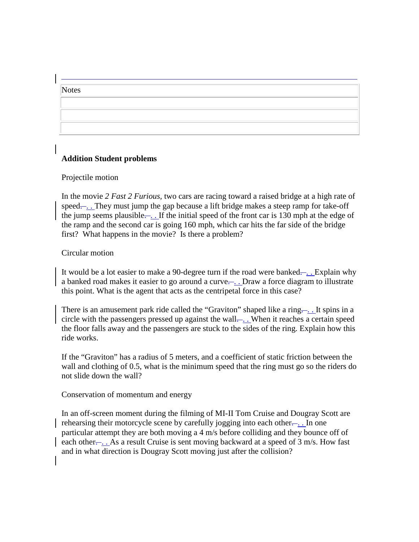# **Notes**

j

# **Addition Student problems**

# Projectile motion

In the movie *2 Fast 2 Furious,* two cars are racing toward a raised bridge at a high rate of speed—. They must jump the gap because a lift bridge makes a steep ramp for take-off the jump seems plausible.... If the initial speed of the front car is 130 mph at the edge of the ramp and the second car is going 160 mph, which car hits the far side of the bridge first? What happens in the movie? Is there a problem?

# Circular motion

It would be a lot easier to make a 90-degree turn if the road were banked— . . Explain why a banked road makes it easier to go around a curve... Draw a force diagram to illustrate this point. What is the agent that acts as the centripetal force in this case?

There is an amusement park ride called the "Graviton" shaped like a ring.... It spins in a circle with the passengers pressed up against the wall.... When it reaches a certain speed the floor falls away and the passengers are stuck to the sides of the ring. Explain how this ride works.

If the "Graviton" has a radius of 5 meters, and a coefficient of static friction between the wall and clothing of 0.5, what is the minimum speed that the ring must go so the riders do not slide down the wall?

# Conservation of momentum and energy

In an off-screen moment during the filming of MI-II Tom Cruise and Dougray Scott are rehearsing their motorcycle scene by carefully jogging into each other.... In one particular attempt they are both moving a 4 m/s before colliding and they bounce off of each other... As a result Cruise is sent moving backward at a speed of 3 m/s. How fast and in what direction is Dougray Scott moving just after the collision?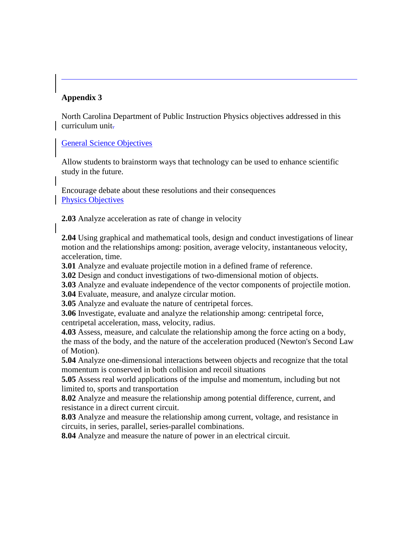# **Appendix 3**

j

North Carolina Department of Public Instruction Physics objectives addressed in this curriculum unit-

# General Science Objectives

Allow students to brainstorm ways that technology can be used to enhance scientific study in the future.

Encourage debate about these resolutions and their consequences Physics Objectives

**2.03** Analyze acceleration as rate of change in velocity

**2.04** Using graphical and mathematical tools, design and conduct investigations of linear motion and the relationships among: position, average velocity, instantaneous velocity, acceleration, time.

**3.01** Analyze and evaluate projectile motion in a defined frame of reference.

**3.02** Design and conduct investigations of two-dimensional motion of objects.

**3.03** Analyze and evaluate independence of the vector components of projectile motion.

**3.04** Evaluate, measure, and analyze circular motion.

**3.05** Analyze and evaluate the nature of centripetal forces.

**3.06** Investigate, evaluate and analyze the relationship among: centripetal force, centripetal acceleration, mass, velocity, radius.

**4.03** Assess, measure, and calculate the relationship among the force acting on a body, the mass of the body, and the nature of the acceleration produced (Newton's Second Law of Motion).

**5.04** Analyze one-dimensional interactions between objects and recognize that the total momentum is conserved in both collision and recoil situations

**5.05** Assess real world applications of the impulse and momentum, including but not limited to, sports and transportation

**8.02** Analyze and measure the relationship among potential difference, current, and resistance in a direct current circuit.

**8.03** Analyze and measure the relationship among current, voltage, and resistance in circuits, in series, parallel, series-parallel combinations.

**8.04** Analyze and measure the nature of power in an electrical circuit.